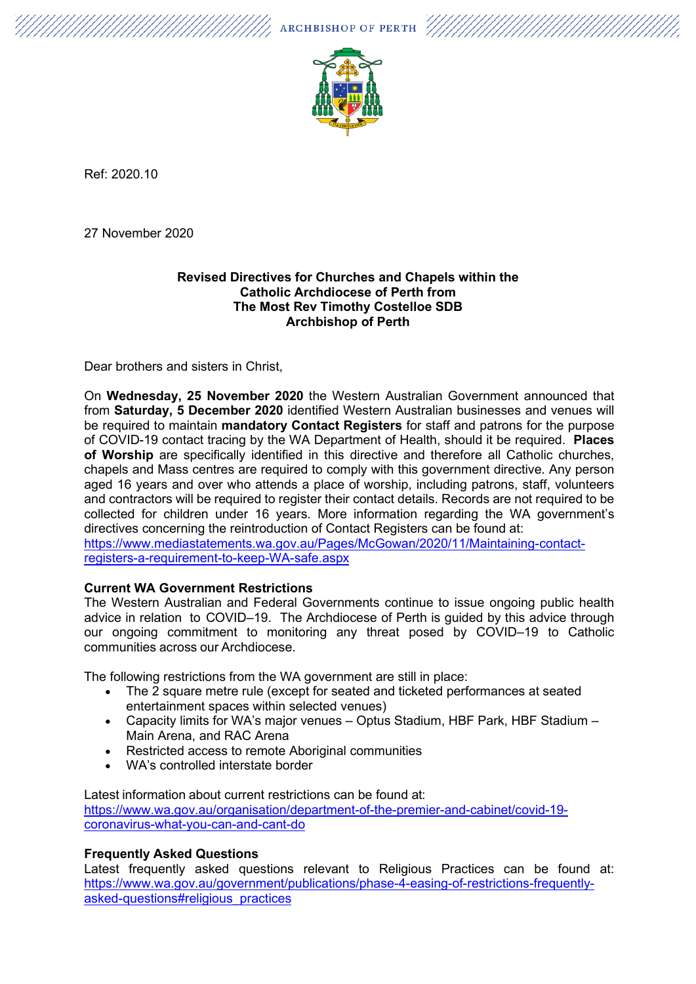$\mathscr{U}_\mathscr{A}$  archbishop of perth  $\mathscr{U}/\mathscr{U}/\mathscr{U}/\mathscr{U}$ 



Ref: 2020.10

27 November 2020

#### **Revised Directives for Churches and Chapels within the Catholic Archdiocese of Perth from The Most Rev Timothy Costelloe SDB Archbishop of Perth**

Dear brothers and sisters in Christ,

On **Wednesday, 25 November 2020** the Western Australian Government announced that from **Saturday, 5 December 2020** identified Western Australian businesses and venues will be required to maintain **mandatory Contact Registers** for staff and patrons for the purpose of COVID-19 contact tracing by the WA Department of Health, should it be required. **Places of Worship** are specifically identified in this directive and therefore all Catholic churches, chapels and Mass centres are required to comply with this government directive. Any person aged 16 years and over who attends a place of worship, including patrons, staff, volunteers and contractors will be required to register their contact details. Records are not required to be collected for children under 16 years. More information regarding the WA government's directives concerning the reintroduction of Contact Registers can be found at:

[https://www.mediastatements.wa.gov.au/Pages/McGowan/2020/11/Maintaining-contact](https://www.mediastatements.wa.gov.au/Pages/McGowan/2020/11/Maintaining-contact-registers-a-requirement-to-keep-WA-safe.aspx)[registers-a-requirement-to-keep-WA-safe.aspx](https://www.mediastatements.wa.gov.au/Pages/McGowan/2020/11/Maintaining-contact-registers-a-requirement-to-keep-WA-safe.aspx)

# **Current WA Government Restrictions**

The Western Australian and Federal Governments continue to issue ongoing public health advice in relation to COVID–19. The Archdiocese of Perth is guided by this advice through our ongoing commitment to monitoring any threat posed by COVID–19 to Catholic communities across our Archdiocese.

The following restrictions from the WA government are still in place:

- The 2 square metre rule (except for seated and ticketed performances at seated entertainment spaces within selected venues)
- Capacity limits for WA's major venues Optus Stadium, HBF Park, HBF Stadium Main Arena, and RAC Arena
- Restricted access to remote Aboriginal communities
- WA's controlled interstate border

Latest information about current restrictions can be found at: [https://www.wa.gov.au/organisation/department-of-the-premier-and-cabinet/covid-19](https://www.wa.gov.au/organisation/department-of-the-premier-and-cabinet/covid-19-coronavirus-what-you-can-and-cant-do) [coronavirus-what-you-can-and-cant-do](https://www.wa.gov.au/organisation/department-of-the-premier-and-cabinet/covid-19-coronavirus-what-you-can-and-cant-do)

# **Frequently Asked Questions**

Latest frequently asked questions relevant to Religious Practices can be found at: [https://www.wa.gov.au/government/publications/phase-4-easing-of-restrictions-frequently](https://www.wa.gov.au/government/publications/phase-4-easing-of-restrictions-frequently-asked-questions#religious_practices)[asked-questions#religious\\_practices](https://www.wa.gov.au/government/publications/phase-4-easing-of-restrictions-frequently-asked-questions#religious_practices)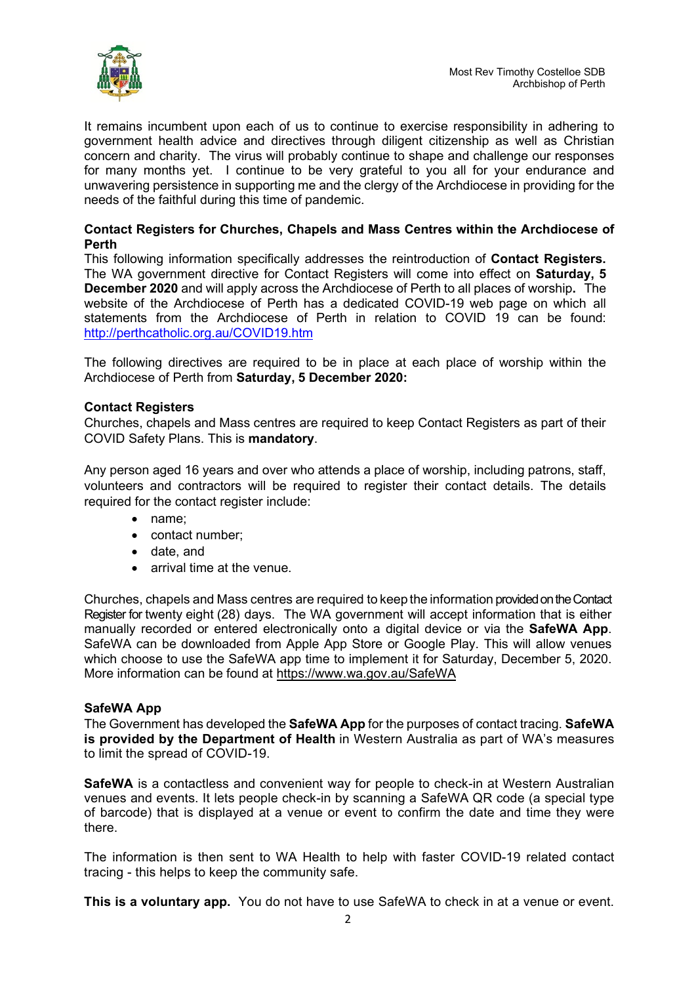

It remains incumbent upon each of us to continue to exercise responsibility in adhering to government health advice and directives through diligent citizenship as well as Christian concern and charity. The virus will probably continue to shape and challenge our responses for many months yet. I continue to be very grateful to you all for your endurance and unwavering persistence in supporting me and the clergy of the Archdiocese in providing for the needs of the faithful during this time of pandemic.

# **Contact Registers for Churches, Chapels and Mass Centres within the Archdiocese of Perth**

This following information specifically addresses the reintroduction of **Contact Registers.**  The WA government directive for Contact Registers will come into effect on **Saturday, 5 December 2020** and will apply across the Archdiocese of Perth to all places of worship**.** The website of the Archdiocese of Perth has a dedicated COVID-19 web page on which all statements from the Archdiocese of Perth in relation to COVID 19 can be found[:](http://perthcatholic.org.au/COVID19.htm) <http://perthcatholic.org.au/COVID19.htm>

The following directives are required to be in place at each place of worship within the Archdiocese of Perth from **Saturday, 5 December 2020:**

# **Contact Registers**

Churches, chapels and Mass centres are required to keep Contact Registers as part of their COVID Safety Plans. This is **mandatory**.

Any person aged 16 years and over who attends a place of worship, including patrons, staff, volunteers and contractors will be required to register their contact details. The details required for the contact register include:

- name;
- contact number;
- date, and
- arrival time at the venue.

Churches, chapels and Mass centres are required to keep the information provided on the Contact Register for twenty eight (28) days. The WA government will accept information that is either manually recorded or entered electronically onto a digital device or via the **SafeWA App**. SafeWA can be downloaded from Apple App Store or Google Play. This will allow venues which choose to use the SafeWA app time to implement it for Saturday, December 5, 2020. More information can be found at <https://www.wa.gov.au/SafeWA>

#### **SafeWA App**

The Government has developed the **SafeWA App** for the purposes of contact tracing. **SafeWA is provided by the Department of Health** in Western Australia as part of WA's measures to limit the spread of COVID-19.

**SafeWA** is a contactless and convenient way for people to check-in at Western Australian venues and events. It lets people check-in by scanning a SafeWA QR code (a special type of barcode) that is displayed at a venue or event to confirm the date and time they were there.

The information is then sent to WA Health to help with faster COVID-19 related contact tracing - this helps to keep the community safe.

**This is a voluntary app.** You do not have to use SafeWA to check in at a venue or event.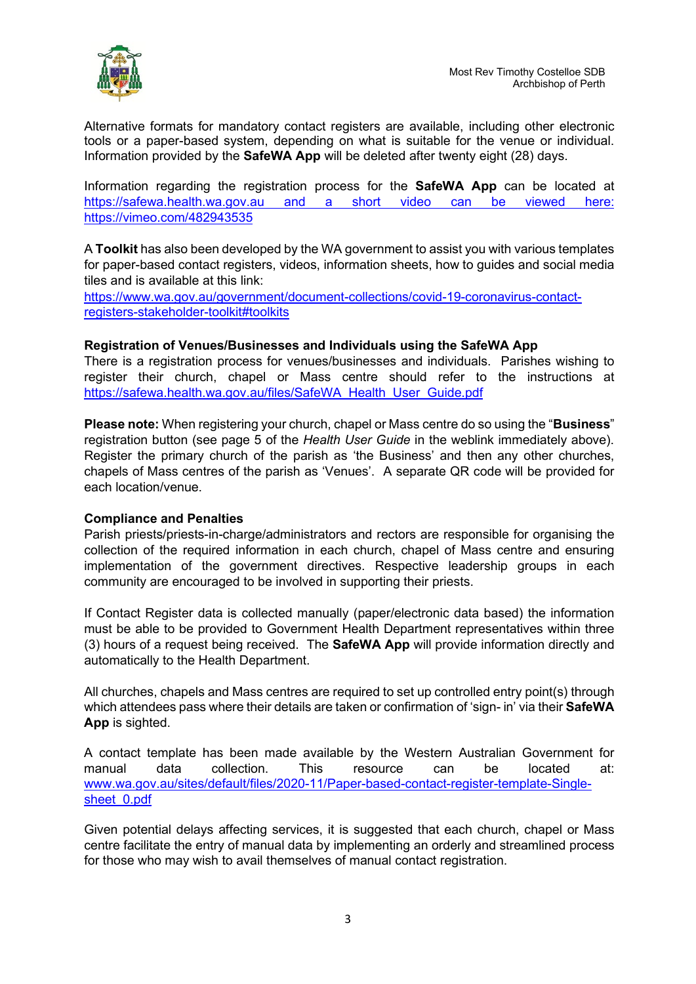

Alternative formats for mandatory contact registers are available, including other electronic tools or a paper-based system, depending on what is suitable for the venue or individual. Information provided by the **SafeWA App** will be deleted after twenty eight (28) days.

Information regarding the registration process for the **SafeWA App** can be located at [https://safewa.health.wa.gov.au](https://safewa.health.wa.gov.au/) and a short video can be viewed here: <https://vimeo.com/482943535>

A **Toolkit** has also been developed by the WA government to assist you with various templates for paper-based contact registers, videos, information sheets, how to guides and social media tiles and is available at this link:

[https://www.wa.gov.au/government/document-collections/covid-19-coronavirus-contact](https://www.wa.gov.au/government/document-collections/covid-19-coronavirus-contact-registers-stakeholder-toolkit#toolkits)[registers-stakeholder-toolkit#toolkits](https://www.wa.gov.au/government/document-collections/covid-19-coronavirus-contact-registers-stakeholder-toolkit#toolkits)

# **Registration of Venues/Businesses and Individuals using the SafeWA App**

There is a registration process for venues/businesses and individuals. Parishes wishing to register their church, chapel or Mass centre should refer to the instructions at [https://safewa.health.wa.gov.au/files/SafeWA\\_Health\\_User\\_Guide.pdf](https://safewa.health.wa.gov.au/files/SafeWA_Health_User_Guide.pdf)

**Please note:** When registering your church, chapel or Mass centre do so using the "**Business**" registration button (see page 5 of the *Health User Guide* in the weblink immediately above). Register the primary church of the parish as 'the Business' and then any other churches, chapels of Mass centres of the parish as 'Venues'. A separate QR code will be provided for each location/venue.

# **Compliance and Penalties**

Parish priests/priests-in-charge/administrators and rectors are responsible for organising the collection of the required information in each church, chapel of Mass centre and ensuring implementation of the government directives. Respective leadership groups in each community are encouraged to be involved in supporting their priests.

If Contact Register data is collected manually (paper/electronic data based) the information must be able to be provided to Government Health Department representatives within three (3) hours of a request being received. The **SafeWA App** will provide information directly and automatically to the Health Department.

All churches, chapels and Mass centres are required to set up controlled entry point(s) through which attendees pass where their details are taken or confirmation of 'sign- in' via their **SafeWA App** is sighted.

A contact template has been made available by the Western Australian Government for manual data collection. This resource can be located at: [www.wa.gov.au/sites/default/files/2020-11/Paper-based-contact-register-template-Single](http://www.wa.gov.au/sites/default/files/2020-11/Paper-based-contact-register-template-Single-sheet_0.pdf)sheet 0.pdf

Given potential delays affecting services, it is suggested that each church, chapel or Mass centre facilitate the entry of manual data by implementing an orderly and streamlined process for those who may wish to avail themselves of manual contact registration.